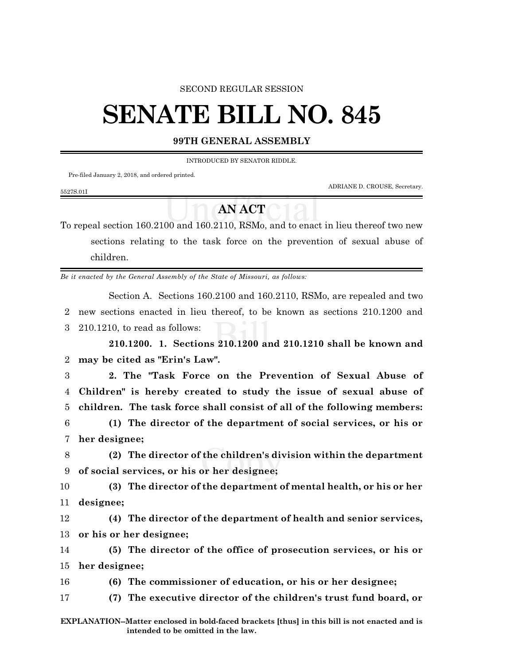## SECOND REGULAR SESSION

## **SENATE BILL NO. 845**

## **99TH GENERAL ASSEMBLY**

INTRODUCED BY SENATOR RIDDLE.

Pre-filed January 2, 2018, and ordered printed.

5527S.01I

ADRIANE D. CROUSE, Secretary.

## **AN ACT**

To repeal section 160.2100 and 160.2110, RSMo, and to enact in lieu thereof two new sections relating to the task force on the prevention of sexual abuse of children.

*Be it enacted by the General Assembly of the State of Missouri, as follows:*

Section A. Sections 160.2100 and 160.2110, RSMo, are repealed and two 2 new sections enacted in lieu thereof, to be known as sections 210.1200 and 3 210.1210, to read as follows:

**210.1200. 1. Sections 210.1200 and 210.1210 shall be known and** 2 **may be cited as "Erin's Law".**

3 **2. The "Task Force on the Prevention of Sexual Abuse of** 4 **Children" is hereby created to study the issue of sexual abuse of** 5 **children. The task force shall consist of all of the following members:**

6 **(1) The director of the department of social services, or his or** 7 **her designee;**

8 **(2) The director of the children's division within the department** 9 **of social services, or his or her designee;**

10 **(3) The director of the department of mental health, or his or her** 11 **designee;**

12 **(4) The director of the department of health and senior services,** 13 **or his or her designee;**

14 **(5) The director of the office of prosecution services, or his or** 15 **her designee;**

16 **(6) The commissioner of education, or his or her designee;**

17 **(7) The executive director of the children's trust fund board, or**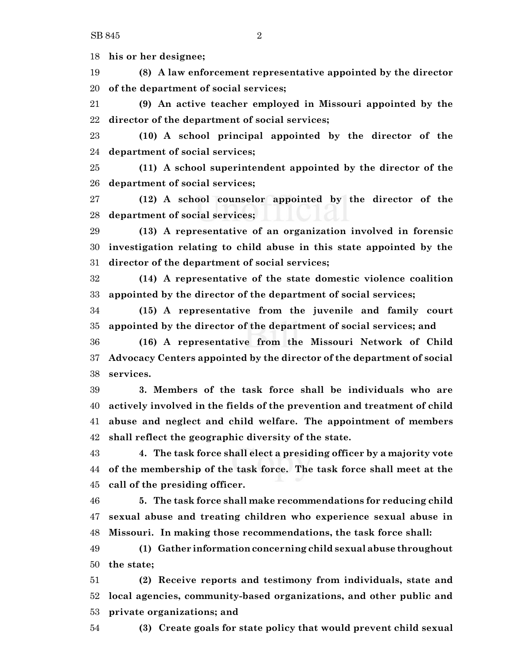SB 845 2

 **his or her designee; (8) A law enforcement representative appointed by the director of the department of social services; (9) An active teacher employed in Missouri appointed by the director of the department of social services; (10) A school principal appointed by the director of the department of social services; (11) A school superintendent appointed by the director of the department of social services; (12) A school counselor appointed by the director of the department of social services; (13) A representative of an organization involved in forensic investigation relating to child abuse in this state appointed by the director of the department of social services; (14) A representative of the state domestic violence coalition appointed by the director of the department of social services; (15) A representative from the juvenile and family court appointed by the director of the department of social services; and (16) A representative from the Missouri Network of Child Advocacy Centers appointed by the director of the department of social services. 3. Members of the task force shall be individuals who are actively involved in the fields of the prevention and treatment of child abuse and neglect and child welfare. The appointment of members shall reflect the geographic diversity of the state. 4. The task force shall elect a presiding officer by a majority vote of the membership of the task force. The task force shall meet at the call of the presiding officer. 5. The task force shall make recommendations for reducing child**

 **sexual abuse and treating children who experience sexual abuse in Missouri. In making those recommendations, the task force shall:**

 **(1) Gather informationconcerning child sexual abuse throughout the state;**

 **(2) Receive reports and testimony from individuals, state and local agencies, community-based organizations, and other public and private organizations; and**

**(3) Create goals for state policy that would prevent child sexual**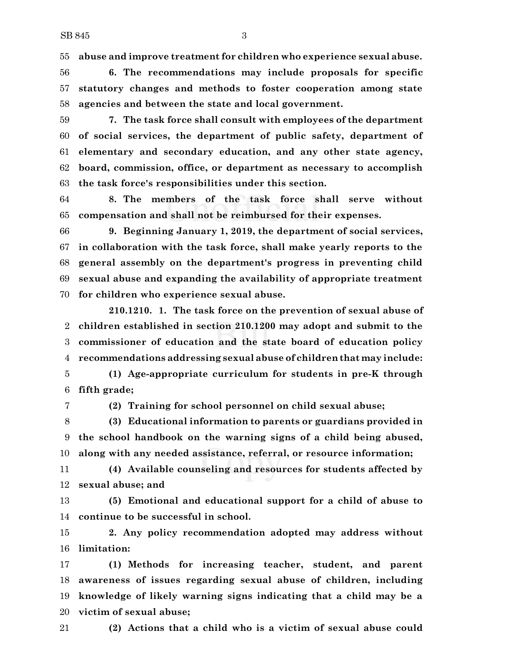**abuse and improve treatment for children who experience sexual abuse.**

 **6. The recommendations may include proposals for specific statutory changes and methods to foster cooperation among state agencies and between the state and local government.**

 **7. The task force shall consult with employees of the department of social services, the department of public safety, department of elementary and secondary education, and any other state agency, board, commission, office, or department as necessary to accomplish the task force's responsibilities under this section.**

 **8. The members of the task force shall serve without compensation and shall not be reimbursed for their expenses.**

 **9. Beginning January 1, 2019, the department of social services, in collaboration with the task force, shall make yearly reports to the general assembly on the department's progress in preventing child sexual abuse and expanding the availability of appropriate treatment for children who experience sexual abuse.**

**210.1210. 1. The task force on the prevention of sexual abuse of children established in section 210.1200 may adopt and submit to the commissioner of education and the state board of education policy recommendations addressing sexual abuse of children that may include: (1) Age-appropriate curriculum for students in pre-K through**

**fifth grade;**

**(2) Training for school personnel on child sexual abuse;**

 **(3) Educational information to parents or guardians provided in the school handbook on the warning signs of a child being abused, along with any needed assistance, referral, or resource information;**

 **(4) Available counseling and resources for students affected by sexual abuse; and**

 **(5) Emotional and educational support for a child of abuse to continue to be successful in school.**

 **2. Any policy recommendation adopted may address without limitation:**

 **(1) Methods for increasing teacher, student, and parent awareness of issues regarding sexual abuse of children, including knowledge of likely warning signs indicating that a child may be a victim of sexual abuse;**

**(2) Actions that a child who is a victim of sexual abuse could**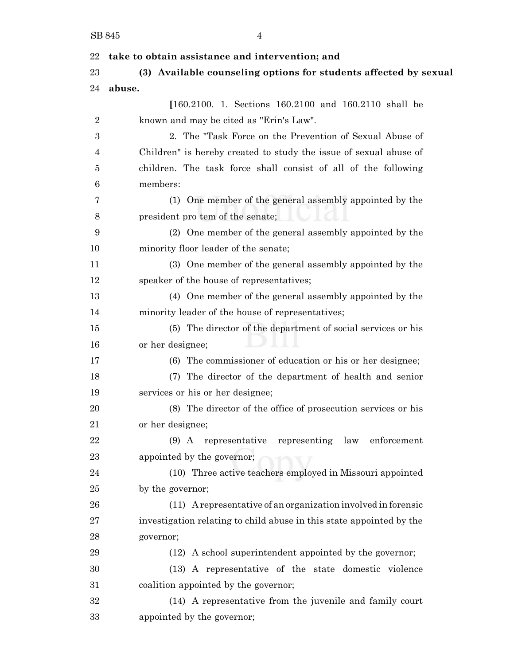| 22             | take to obtain assistance and intervention; and                      |
|----------------|----------------------------------------------------------------------|
| 23             | (3) Available counseling options for students affected by sexual     |
| 24             | abuse.                                                               |
|                | $[160.2100. 1. Sections 160.2100 and 160.2110 shall be$              |
| $\overline{2}$ | known and may be cited as "Erin's Law".                              |
| 3              | 2. The "Task Force on the Prevention of Sexual Abuse of              |
| 4              | Children" is hereby created to study the issue of sexual abuse of    |
| 5              | children. The task force shall consist of all of the following       |
| 6              | members:                                                             |
| 7              | (1) One member of the general assembly appointed by the              |
| 8              | president pro tem of the senate;                                     |
| 9              | (2) One member of the general assembly appointed by the              |
| 10             | minority floor leader of the senate;                                 |
| 11             | (3) One member of the general assembly appointed by the              |
| 12             | speaker of the house of representatives;                             |
| 13             | (4) One member of the general assembly appointed by the              |
| 14             | minority leader of the house of representatives;                     |
| 15             | (5) The director of the department of social services or his         |
| 16             | or her designee;                                                     |
| 17             | (6) The commissioner of education or his or her designee;            |
| 18             | (7) The director of the department of health and senior              |
| 19             | services or his or her designee;                                     |
| 20             | (8) The director of the office of prosecution services or his        |
| 21             | or her designee;                                                     |
| 22             | (9) A representative representing law enforcement                    |
| 23             | appointed by the governor;                                           |
| 24             | (10) Three active teachers employed in Missouri appointed            |
| 25             | by the governor;                                                     |
| 26             | (11) A representative of an organization involved in forensic        |
| 27             | investigation relating to child abuse in this state appointed by the |
| 28             | governor;                                                            |
| 29             | (12) A school superintendent appointed by the governor;              |
| 30             | (13) A representative of the state domestic violence                 |
| 31             | coalition appointed by the governor;                                 |
| 32             | (14) A representative from the juvenile and family court             |
| 33             | appointed by the governor;                                           |
|                |                                                                      |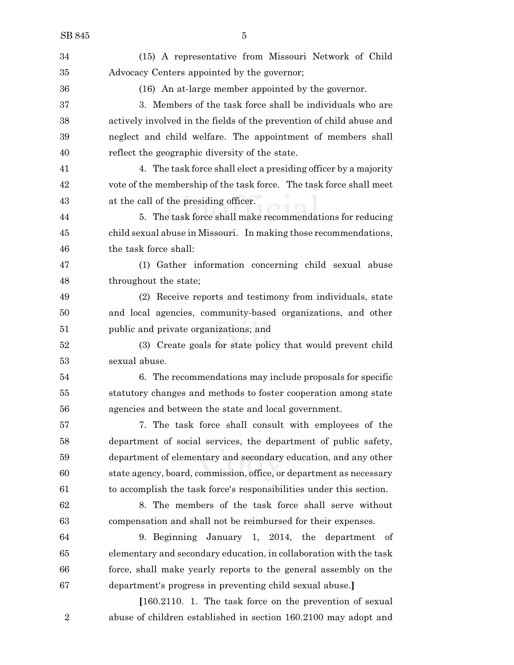(15) A representative from Missouri Network of Child Advocacy Centers appointed by the governor; (16) An at-large member appointed by the governor. 3. Members of the task force shall be individuals who are actively involved in the fields of the prevention of child abuse and neglect and child welfare. The appointment of members shall reflect the geographic diversity of the state. 4. The task force shall elect a presiding officer by a majority vote of the membership of the task force. The task force shall meet at the call of the presiding officer. 5. The task force shall make recommendations for reducing child sexual abuse in Missouri. In making those recommendations, the task force shall: (1) Gather information concerning child sexual abuse throughout the state; (2) Receive reports and testimony from individuals, state and local agencies, community-based organizations, and other public and private organizations; and (3) Create goals for state policy that would prevent child sexual abuse. 6. The recommendations may include proposals for specific statutory changes and methods to foster cooperation among state agencies and between the state and local government. 7. The task force shall consult with employees of the department of social services, the department of public safety, department of elementary and secondary education, and any other state agency, board, commission, office, or department as necessary to accomplish the task force's responsibilities under this section. 8. The members of the task force shall serve without compensation and shall not be reimbursed for their expenses. 9. Beginning January 1, 2014, the department of elementary and secondary education, in collaboration with the task force, shall make yearly reports to the general assembly on the department's progress in preventing child sexual abuse.**] [**160.2110. 1. The task force on the prevention of sexual

abuse of children established in section 160.2100 may adopt and